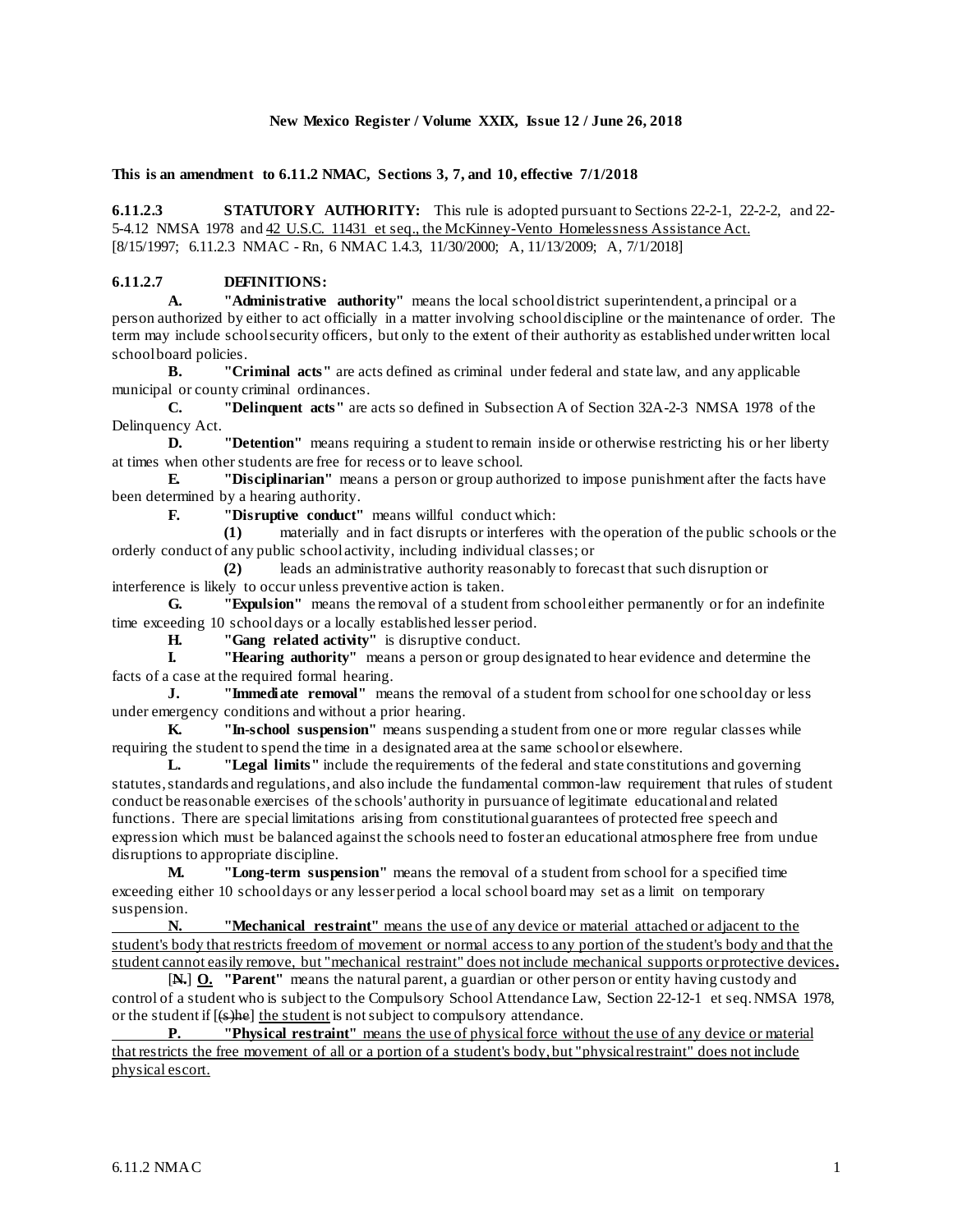## **New Mexico Register / Volume XXIX, Issue 12 / June 26, 2018**

## **This is an amendment to 6.11.2 NMAC, Sections 3, 7, and 10, effective 7/1/2018**

**6.11.2.3 STATUTORY AUTHORITY:** This rule is adopted pursuant to Sections 22-2-1, 22-2-2, and 22-5-4.12 NMSA 1978 and  $42$  U.S.C. 11431 et seq., the McKinney-Vento Homelessness Assistance Act. [8/15/1997; 6.11.2.3 NMAC - Rn, 6 NMAC 1.4.3, 11/30/2000; A, 11/13/2009; A, 7/1/2018]

## **6.11.2.7 DEFINITIONS:**

**A. "Administrative authority"** means the local school district superintendent, a principal or a person authorized by either to act officially in a matter involving school discipline or the maintenance of order. The term may include school security officers, but only to the extent of their authority as established under written local school board policies.

**B. "Criminal acts"** are acts defined as criminal under federal and state law, and any applicable municipal or county criminal ordinances.

**C. "Delinquent acts"** are acts so defined in Subsection A of Section 32A-2-3 NMSA 1978 of the Delinquency Act.

**D. "Detention"** means requiring a student to remain inside or otherwise restricting his or her liberty at times when other students are free for recess or to leave school.

**E. "Disciplinarian"** means a person or group authorized to impose punishment after the facts have been determined by a hearing authority.

**F. "Disruptive conduct"** means willful conduct which:

**(1)** materially and in fact disrupts or interferes with the operation of the public schools or the orderly conduct of any public school activity, including individual classes; or

**(2)** leads an administrative authority reasonably to forecast that such disruption or interference is likely to occur unless preventive action is taken.

**G. "Expulsion"** means the removal of a student from school either permanently or for an indefinite time exceeding 10 school days or a locally established lesser period.

**H. "Gang related activity"** is disruptive conduct.

**I. "Hearing authority"** means a person or group designated to hear evidence and determine the facts of a case at the required formal hearing.

**J. "Immediate removal"** means the removal of a student from school for one schoolday or less under emergency conditions and without a prior hearing.

**K. "In-school suspension"** means suspending a student from one or more regular classes while requiring the student to spend the time in a designated area at the same school or elsewhere.

**L. "Legal limits"** include the requirements of the federal and state constitutions and governing statutes, standards and regulations, and also include the fundamental common-law requirement that rules of student conduct be reasonable exercises of the schools' authority in pursuance of legitimate educational and related functions. There are special limitations arising from constitutional guarantees of protected free speech and expression which must be balanced against the schools need to foster an educational atmosphere free from undue disruptions to appropriate discipline.<br>M. Theoreterm suspe

**M. "Long-term suspension"** means the removal of a student from school for a specified time exceeding either 10 school days or any lesser period a local school board may set as a limit on temporary suspension.<br>N

**Wechanical restraint''** means the use of any device or material attached or adjacent to the student's body that restricts freedom of movement or normal access to any portion of the student's body and that the student cannot easily remove, but "mechanical restraint" does not include mechanical supports or protective devices**.**

[**N.**] **O. "Parent"** means the natural parent, a guardian or other person or entity having custody and control of a student who is subject to the Compulsory School Attendance Law, Section 22-12-1 et seq. NMSA 1978, or the student if [(s)he] the student is not subject to compulsory attendance.

**P. "Physical restraint"** means the use of physical force without the use of any device or material that restricts the free movement of all or a portion of a student's body, but "physical restraint" does not include physical escort.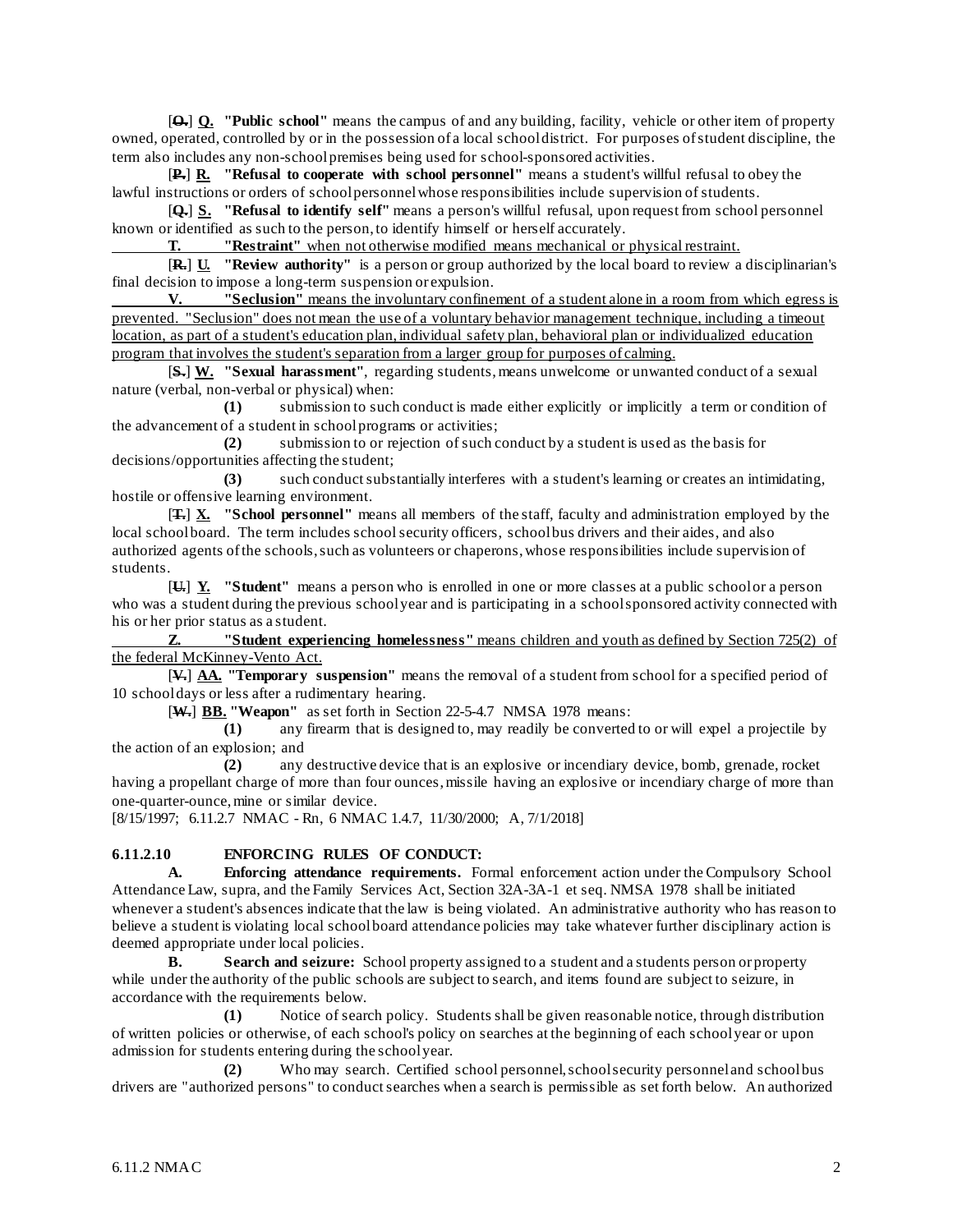[**O.**] **Q. "Public school"** means the campus of and any building, facility, vehicle or other item of property owned, operated, controlled by or in the possession of a local school district. For purposes of student discipline, the term also includes any non-school premises being used for school-sponsored activities.

[**P.**] **R. "Refusal to cooperate with school personnel"** means a student's willful refusal to obey the lawful instructions or orders of school personnel whose responsibilities include supervision of students.

[**Q.**] **S. "Refusal to identify self"** means a person's willful refusal, upon request from school personnel known or identified as such to the person, to identify himself or herself accurately.

**T. "Restraint"** when not otherwise modified means mechanical or physical restraint.

[**R.**] **U. "Review authority"** is a person or group authorized by the local board to review a disciplinarian's final decision to impose a long-term suspension or expulsion.

**V. "Seclusion"** means the involuntary confinement of a student alone in a room from which egress is prevented. "Seclusion" does not mean the use of a voluntary behavior management technique, including a timeout location, as part of a student's education plan, individual safety plan, behavioral plan or individualized education program that involves the student's separation from a larger group for purposes of calming.

[**S.**] **W. "Sexual harassment"**, regarding students, means unwelcome or unwanted conduct of a sexual nature (verbal, non-verbal or physical) when:

**(1)** submission to such conduct is made either explicitly or implicitly a term or condition of the advancement of a student in school programs or activities;

**(2)** submission to or rejection of such conduct by a student is used as the basis for decisions/opportunities affecting the student;

**(3)** such conduct substantially interferes with a student's learning or creates an intimidating, hostile or offensive learning environment.

[**T.**] **X. "School personnel"** means all members of the staff, faculty and administration employed by the local school board. The term includes school security officers, school bus drivers and their aides, and also authorized agents of the schools, such as volunteers or chaperons, whose responsibilities include supervision of students.

[**U.**] **Y. "Student"** means a person who is enrolled in one or more classes at a public school or a person who was a student during the previous school year and is participating in a school sponsored activity connected with his or her prior status as a student.

**Z. "Student experiencing homelessness"** means children and youth as defined by Section 725(2) of the federal McKinney-Vento Act.

[**V.**] **AA. "Temporary suspension"** means the removal of a student from school for a specified period of 10 school days or less after a rudimentary hearing.

[**W.**] **BB. "Weapon"** as set forth in Section 22-5-4.7 NMSA 1978 means:

**(1)** any firearm that is designed to, may readily be converted to or will expel a projectile by the action of an explosion; and

**(2)** any destructive device that is an explosive or incendiary device, bomb, grenade, rocket having a propellant charge of more than four ounces, missile having an explosive or incendiary charge of more than one-quarter-ounce, mine or similar device.

[8/15/1997; 6.11.2.7 NMAC - Rn, 6 NMAC 1.4.7, 11/30/2000; A, 7/1/2018]

## **6.11.2.10 ENFORCING RULES OF CONDUCT:**

**A. Enforcing attendance requirements.** Formal enforcement action under the Compulsory School Attendance Law, supra, and the Family Services Act, Section 32A-3A-1 et seq. NMSA 1978 shall be initiated whenever a student's absences indicate that the law is being violated. An administrative authority who has reason to believe a student is violating local school board attendance policies may take whatever further disciplinary action is deemed appropriate under local policies.

**B. Search and seizure:** School property assigned to a student and a students person or property while under the authority of the public schools are subject to search, and items found are subject to seizure, in accordance with the requirements below.

**(1)** Notice of search policy. Students shall be given reasonable notice, through distribution of written policies or otherwise, of each school's policy on searches at the beginning of each school year or upon admission for students entering during the school year.

**(2)** Who may search. Certified school personnel, school security personnel and school bus drivers are "authorized persons" to conduct searches when a search is permissible as set forth below. An authorized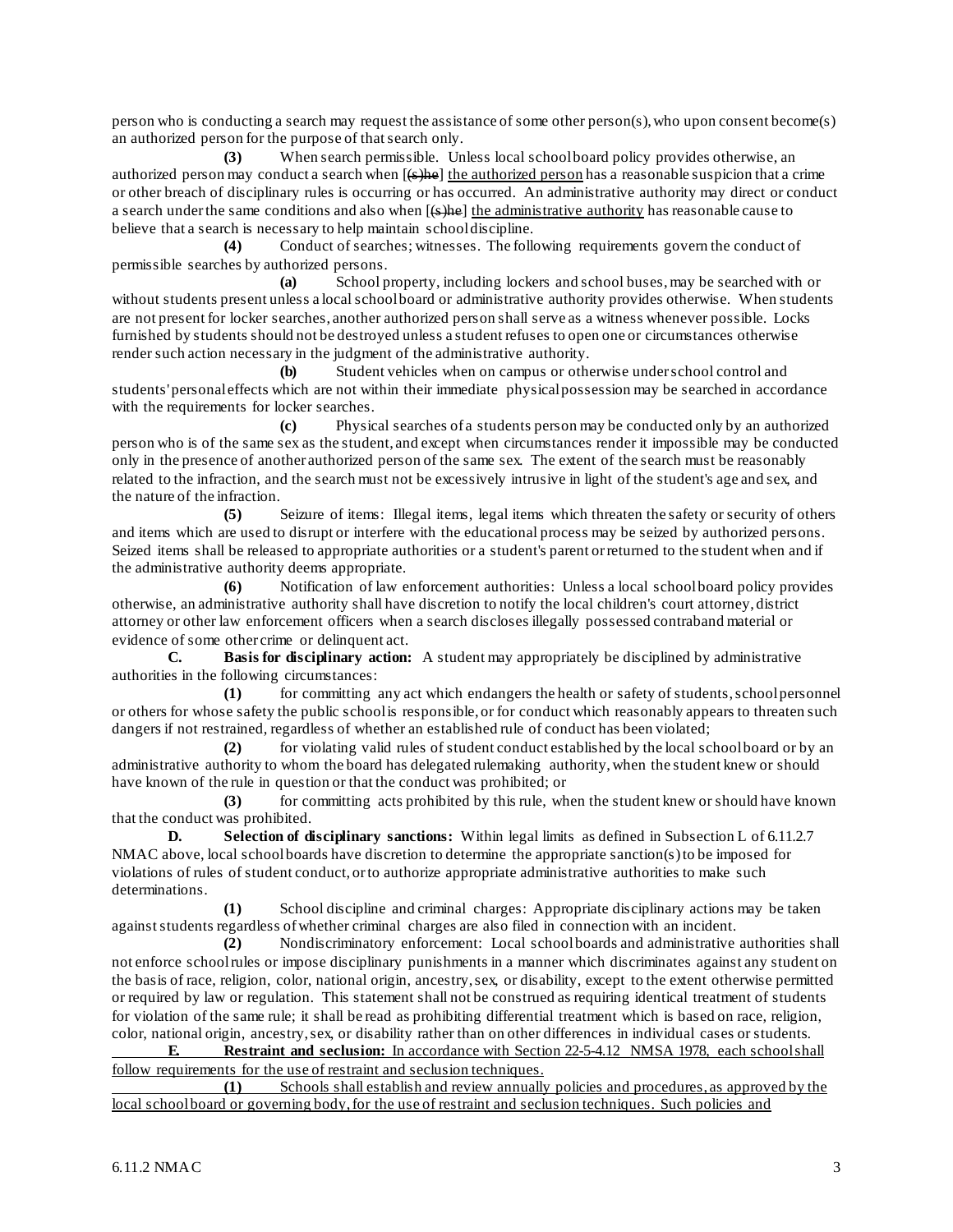person who is conducting a search may request the assistance of some other person(s), who upon consent become(s) an authorized person for the purpose of that search only.

**(3)** When search permissible. Unless local school board policy provides otherwise, an authorized person may conduct a search when  $[(6)$ he] the authorized person has a reasonable suspicion that a crime or other breach of disciplinary rules is occurring or has occurred. An administrative authority may direct or conduct a search under the same conditions and also when  $[6\text{m/s}]$  the administrative authority has reasonable cause to believe that a search is necessary to help maintain school discipline.

**(4)** Conduct of searches; witnesses. The following requirements govern the conduct of permissible searches by authorized persons.

**(a)** School property, including lockers and school buses, may be searched with or without students present unless a local school board or administrative authority provides otherwise. When students are not present for locker searches, another authorized person shall serve as a witness whenever possible. Locks furnished by students should not be destroyed unless a student refuses to open one or circumstances otherwise render such action necessary in the judgment of the administrative authority.

**(b)** Student vehicles when on campus or otherwise under school control and students' personal effects which are not within their immediate physical possession may be searched in accordance with the requirements for locker searches.

**(c)** Physical searches of a students person may be conducted only by an authorized person who is of the same sex as the student, and except when circumstances render it impossible may be conducted only in the presence of another authorized person of the same sex. The extent of the search must be reasonably related to the infraction, and the search must not be excessively intrusive in light of the student's age and sex, and the nature of the infraction.

**(5)** Seizure of items: Illegal items, legal items which threaten the safety or security of others and items which are used to disrupt or interfere with the educational process may be seized by authorized persons. Seized items shall be released to appropriate authorities or a student's parent or returned to the student when and if the administrative authority deems appropriate.

**(6)** Notification of law enforcement authorities: Unless a local school board policy provides otherwise, an administrative authority shall have discretion to notify the local children's court attorney, district attorney or other law enforcement officers when a search discloses illegally possessed contraband material or evidence of some other crime or delinquent act.

**C. Basis for disciplinary action:** A student may appropriately be disciplined by administrative authorities in the following circumstances:

**(1)** for committing any act which endangers the health or safety of students, school personnel or others for whose safety the public school is responsible, or for conduct which reasonably appears to threaten such dangers if not restrained, regardless of whether an established rule of conduct has been violated;

**(2)** for violating valid rules of student conduct established by the local school board or by an administrative authority to whom the board has delegated rulemaking authority, when the student knew or should have known of the rule in question or that the conduct was prohibited; or

**(3)** for committing acts prohibited by this rule, when the student knew or should have known that the conduct was prohibited.

**D. Selection of disciplinary sanctions:** Within legal limits as defined in Subsection L of 6.11.2.7 NMAC above, local school boards have discretion to determine the appropriate sanction(s) to be imposed for violations of rules of student conduct, or to authorize appropriate administrative authorities to make such determinations.

**(1)** School discipline and criminal charges: Appropriate disciplinary actions may be taken against students regardless of whether criminal charges are also filed in connection with an incident.

**(2)** Nondiscriminatory enforcement: Local school boards and administrative authorities shall not enforce school rules or impose disciplinary punishments in a manner which discriminates against any student on the basis of race, religion, color, national origin, ancestry, sex, or disability, except to the extent otherwise permitted or required by law or regulation. This statement shall not be construed as requiring identical treatment of students for violation of the same rule; it shall be read as prohibiting differential treatment which is based on race, religion, color, national origin, ancestry, sex, or disability rather than on other differences in individual cases or students.

**E. Restraint and seclusion:** In accordance with Section 22-5-4.12 NMSA 1978, each school shall follow requirements for the use of restraint and seclusion techniques.<br>(1) Schools shall establish and review annually

**(1)** Schools shall establish and review annually policies and procedures, as approved by the local school board or governing body, for the use of restraint and seclusion techniques. Such policies and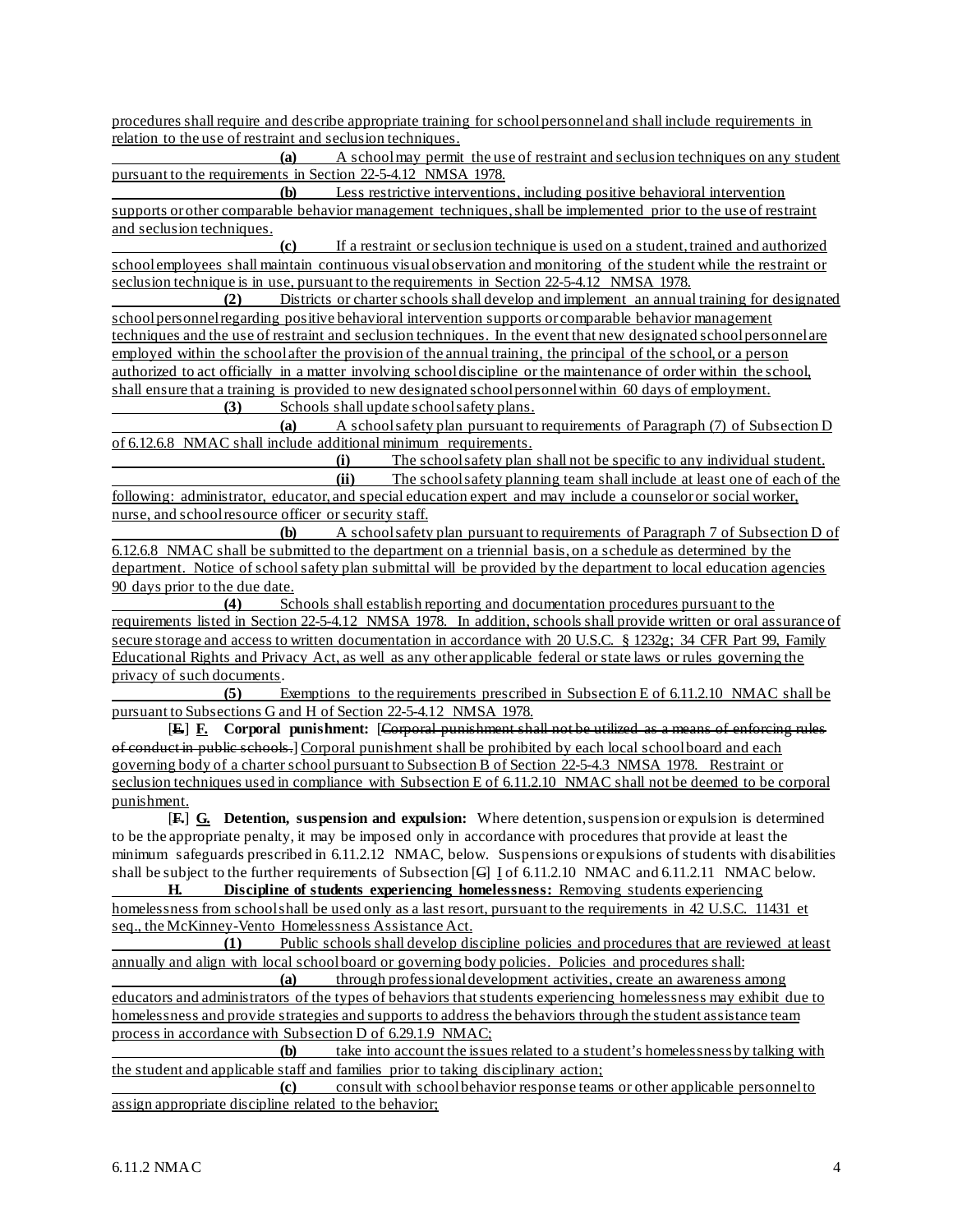procedures shall require and describe appropriate training for school personnel and shall include requirements in relation to the use of restraint and seclusion techniques.

**(a)** A school may permit the use of restraint and seclusion techniques on any student pursuant to the requirements in Section 22-5-4.12 NMSA 1978.

**(b)** Less restrictive interventions, including positive behavioral intervention supports or other comparable behavior management techniques, shall be implemented prior to the use of restraint and seclusion techniques.

**(c)** If a restraint or seclusion technique is used on a student, trained and authorized school employees shall maintain continuous visual observation and monitoring of the student while the restraint or seclusion technique is in use, pursuant to the requirements in Section 22-5-4.12 NMSA 1978.<br>(2) Districts or charter schools shall develop and implement an annual

**(2)** Districts or charter schools shall develop and implement an annual training for designated school personnel regarding positive behavioral intervention supports or comparable behavior management techniques and the use of restraint and seclusion techniques. In the event that new designated school personnel are employed within the school after the provision of the annual training, the principal of the school, or a person authorized to act officially in a matter involving school discipline or the maintenance of order within the school, shall ensure that a training is provided to new designated school personnel within 60 days of employment. **(3)** Schools shall update school safety plans.

**(a)** A school safety plan pursuant to requirements of Paragraph (7) of Subsection D of 6.12.6.8 NMAC shall include additional minimum requirements.<br>(i) The school safety plan

(i) The school safety plan shall not be specific to any individual student.<br>
(ii) The school safety planning team shall include at least one of each of the The school safety planning team shall include at least one of each of the following: administrator, educator, and special education expert and may include a counselor or social worker, nurse, and school resource officer or security staff.

**(b)** A school safety plan pursuant to requirements of Paragraph 7 of Subsection D of 6.12.6.8 NMAC shall be submitted to the department on a triennial basis, on a schedule as determined by the department. Notice of school safety plan submittal will be provided by the department to local education agencies 90 days prior to the due date.

**(4)** Schools shall establish reporting and documentation procedures pursuant to the requirements listed in Section 22-5-4.12 NMSA 1978. In addition, schools shall provide written or oral assurance of secure storage and access to written documentation in accordance with 20 U.S.C. § 1232g; 34 CFR Part 99, Family Educational Rights and Privacy Act, as well as any other applicable federal or state laws or rules governing the privacy of such documents.

**(5)** Exemptions to the requirements prescribed in Subsection E of 6.11.2.10 NMAC shall be pursuant to Subsections G and H of Section 22-5-4.12 NMSA 1978.

[**E.**] **F. Corporal punishment:** [Corporal punishment shall not be utilized as a means of enforcing rules of conduct in public schools.] Corporal punishment shall be prohibited by each local school board and each governing body of a charter school pursuant to Subsection B of Section 22-5-4.3 NMSA 1978. Restraint or seclusion techniques used in compliance with Subsection E of 6.11.2.10 NMAC shall not be deemed to be corporal punishment.

[**F.**] **G. Detention, suspension and expulsion:** Where detention, suspension or expulsion is determined to be the appropriate penalty, it may be imposed only in accordance with procedures that provide at least the minimum safeguards prescribed in 6.11.2.12 NMAC, below. Suspensions or expulsions of students with disabilities shall be subject to the further requirements of Subsection [G] **I** of 6.11.2.10 NMAC and 6.11.2.11 NMAC below.

**H. Discipline of students experiencing homelessness:** Removing students experiencing homelessness from school shall be used only as a last resort, pursuant to the requirements in 42 U.S.C. 11431 et seq., the McKinney-Vento Homelessness Assistance Act.<br>(1) Public schools shall develop dis

**(1)** Public schools shall develop discipline policies and procedures that are reviewed at least annually and align with local school board or governing body policies. Policies and procedures shall:

**(a)** through professional development activities, create an awareness among educators and administrators of the types of behaviors that students experiencing homelessness may exhibit due to homelessness and provide strategies and supports to address the behaviors through the student assistance team process in accordance with Subsection D of  $6.29.1.9 \text{ NMAC}$ ;<br>(b) take into account the issue

take into account the issues related to a student's homelessness by talking with the student and applicable staff and families prior to taking disciplinary action;

**(c)** consult with school behavior response teams or other applicable personnel to assign appropriate discipline related to the behavior;